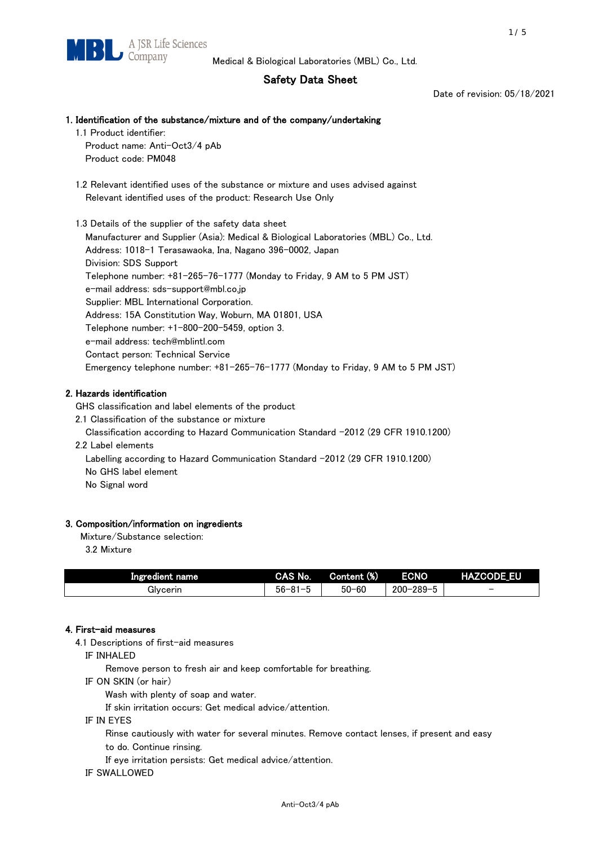# Safety Data Sheet

Date of revision: 05/18/2021

# 1. Identification of the substance/mixture and of the company/undertaking

1.1 Product identifier: Product name: Anti-Oct3/4 pAb

Product code: PM048

 1.2 Relevant identified uses of the substance or mixture and uses advised against Relevant identified uses of the product: Research Use Only

1.3 Details of the supplier of the safety data sheet

Manufacturer and Supplier (Asia): Medical & Biological Laboratories (MBL) Co., Ltd. Address: 1018-1 Terasawaoka, Ina, Nagano 396-0002, Japan Division: SDS Support Telephone number: +81-265-76-1777 (Monday to Friday, 9 AM to 5 PM JST) e-mail address: sds-support@mbl.co.jp Supplier: MBL International Corporation. Address: 15A Constitution Way, Woburn, MA 01801, USA Telephone number: +1-800-200-5459, option 3. e-mail address: tech@mblintl.com Contact person: Technical Service Emergency telephone number: +81-265-76-1777 (Monday to Friday, 9 AM to 5 PM JST)

# 2. Hazards identification

GHS classification and label elements of the product

2.1 Classification of the substance or mixture

- Classification according to Hazard Communication Standard -2012 (29 CFR 1910.1200)
- 2.2 Label elements

Labelling according to Hazard Communication Standard -2012 (29 CFR 1910.1200) No GHS label element

No Signal word

# 3. Composition/information on ingredients

Mixture/Substance selection:

3.2 Mixture

| Ingredient name | CAS No.             | Content (%) | <b>ECNO</b>                                              | <b>HAZCODE_EU</b>        |
|-----------------|---------------------|-------------|----------------------------------------------------------|--------------------------|
| Glvcerin        | $56 - 81 -$<br>ິບ ເ | $50 - 60$   | $-289 - 1$<br>$200 - 2$<br>$\overline{\phantom{0}}$<br>v | $\overline{\phantom{0}}$ |

# 4. First-aid measures

4.1 Descriptions of first-aid measures

IF INHALED

Remove person to fresh air and keep comfortable for breathing.

IF ON SKIN (or hair)

Wash with plenty of soap and water.

If skin irritation occurs: Get medical advice/attention.

IF IN EYES

Rinse cautiously with water for several minutes. Remove contact lenses, if present and easy

to do. Continue rinsing.

If eye irritation persists: Get medical advice/attention.

IF SWALLOWED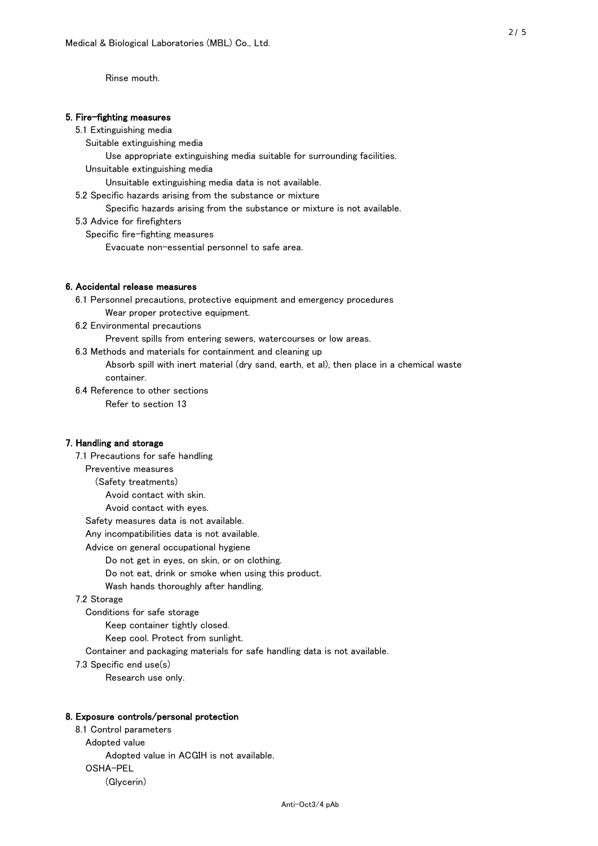Rinse mouth.

## 5. Fire-fighting measures

### 5.1 Extinguishing media

Suitable extinguishing media

Use appropriate extinguishing media suitable for surrounding facilities.

Unsuitable extinguishing media

Unsuitable extinguishing media data is not available.

5.2 Specific hazards arising from the substance or mixture

Specific hazards arising from the substance or mixture is not available.

5.3 Advice for firefighters

Specific fire-fighting measures

Evacuate non-essential personnel to safe area.

# 6. Accidental release measures

 6.1 Personnel precautions, protective equipment and emergency procedures Wear proper protective equipment.

6.2 Environmental precautions

Prevent spills from entering sewers, watercourses or low areas.

6.3 Methods and materials for containment and cleaning up

 Absorb spill with inert material (dry sand, earth, et al), then place in a chemical waste container.

6.4 Reference to other sections

Refer to section 13

# 7. Handling and storage

 7.1 Precautions for safe handling Preventive measures (Safety treatments) Avoid contact with skin. Avoid contact with eyes. Safety measures data is not available. Any incompatibilities data is not available. Advice on general occupational hygiene Do not get in eyes, on skin, or on clothing. Do not eat, drink or smoke when using this product. Wash hands thoroughly after handling. 7.2 Storage Conditions for safe storage Keep container tightly closed.

Keep cool. Protect from sunlight.

Container and packaging materials for safe handling data is not available.

7.3 Specific end use(s)

Research use only.

#### 8. Exposure controls/personal protection

 8.1 Control parameters Adopted value Adopted value in ACGIH is not available. OSHA-PEL (Glycerin)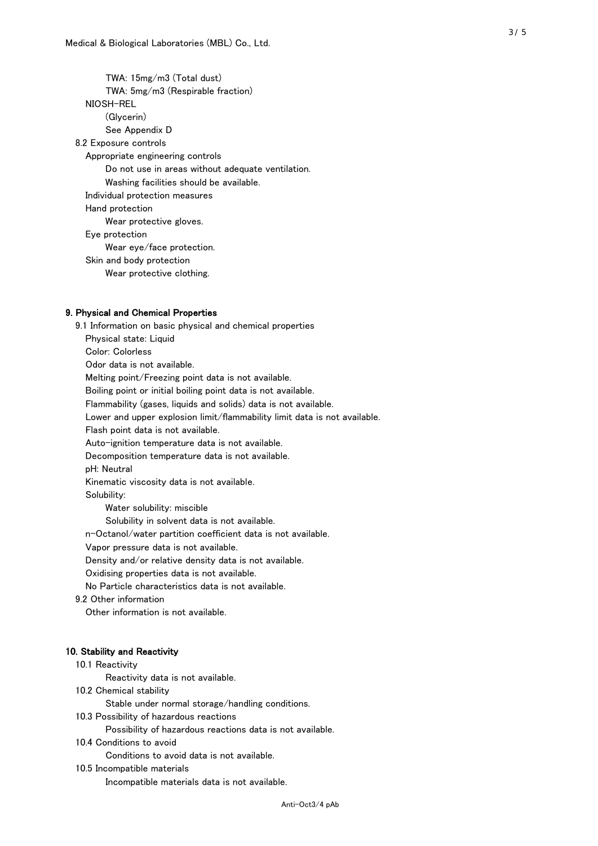TWA: 15mg/m3 (Total dust) TWA: 5mg/m3 (Respirable fraction) NIOSH-REL (Glycerin) See Appendix D 8.2 Exposure controls Appropriate engineering controls Do not use in areas without adequate ventilation. Washing facilities should be available. Individual protection measures Hand protection Wear protective gloves. Eye protection Wear eye/face protection. Skin and body protection Wear protective clothing.

### 9. Physical and Chemical Properties

 9.1 Information on basic physical and chemical properties Physical state: Liquid Color: Colorless Odor data is not available. Melting point/Freezing point data is not available. Boiling point or initial boiling point data is not available. Flammability (gases, liquids and solids) data is not available. Lower and upper explosion limit/flammability limit data is not available. Flash point data is not available. Auto-ignition temperature data is not available. Decomposition temperature data is not available. pH: Neutral Kinematic viscosity data is not available. Solubility: Water solubility: miscible Solubility in solvent data is not available. n-Octanol/water partition coefficient data is not available. Vapor pressure data is not available. Density and/or relative density data is not available. Oxidising properties data is not available. No Particle characteristics data is not available. 9.2 Other information Other information is not available. 10. Stability and Reactivity 10.1 Reactivity Reactivity data is not available. 10.2 Chemical stability Stable under normal storage/handling conditions. 10.3 Possibility of hazardous reactions

Possibility of hazardous reactions data is not available.

10.4 Conditions to avoid

Conditions to avoid data is not available.

10.5 Incompatible materials

Incompatible materials data is not available.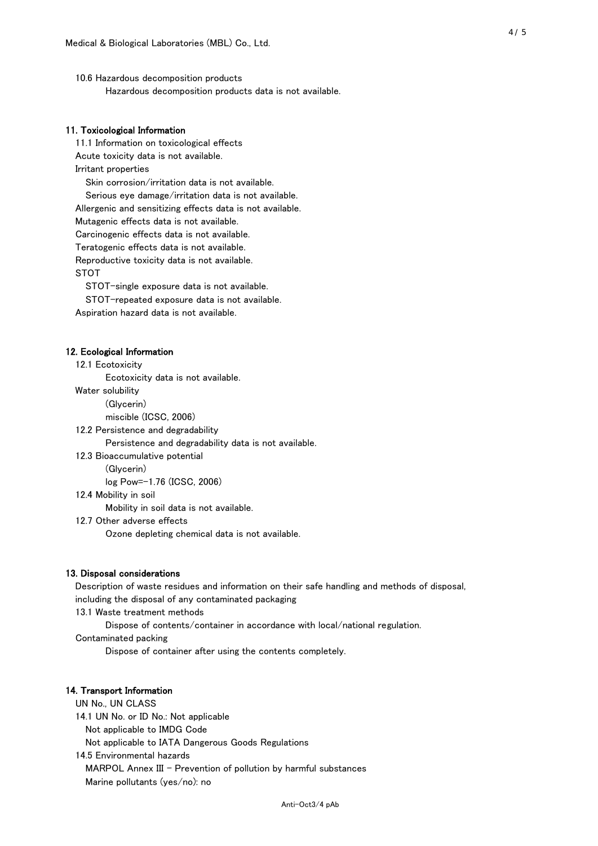10.6 Hazardous decomposition products Hazardous decomposition products data is not available.

# 11. Toxicological Information

 11.1 Information on toxicological effects Acute toxicity data is not available. Irritant properties Skin corrosion/irritation data is not available. Serious eye damage/irritation data is not available. Allergenic and sensitizing effects data is not available. Mutagenic effects data is not available. Carcinogenic effects data is not available. Teratogenic effects data is not available. Reproductive toxicity data is not available. STOT

STOT-single exposure data is not available.

STOT-repeated exposure data is not available.

Aspiration hazard data is not available.

#### 12. Ecological Information

12.1 Ecotoxicity

Ecotoxicity data is not available.

Water solubility

(Glycerin)

miscible (ICSC, 2006)

12.2 Persistence and degradability

Persistence and degradability data is not available.

12.3 Bioaccumulative potential

(Glycerin)

log Pow=-1.76 (ICSC, 2006)

12.4 Mobility in soil

Mobility in soil data is not available.

12.7 Other adverse effects

Ozone depleting chemical data is not available.

#### 13. Disposal considerations

 Description of waste residues and information on their safe handling and methods of disposal, including the disposal of any contaminated packaging

13.1 Waste treatment methods

Dispose of contents/container in accordance with local/national regulation.

Contaminated packing

Dispose of container after using the contents completely.

### 14. Transport Information

 UN No., UN CLASS 14.1 UN No. or ID No.: Not applicable Not applicable to IMDG Code Not applicable to IATA Dangerous Goods Regulations

 14.5 Environmental hazards MARPOL Annex III - Prevention of pollution by harmful substances Marine pollutants (yes/no): no